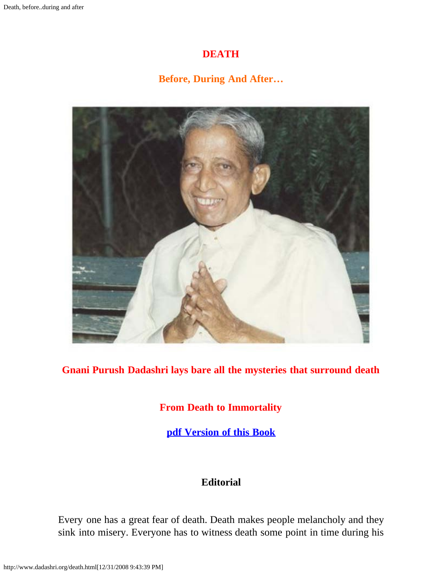#### **DEATH**

# **Before, During And After…**

<span id="page-0-0"></span>

#### **Gnani Purush Dadashri lays bare all the mysteries that surround death**

### **From Death to Immortality**

**[pdf Version of this Book](http://www.dadashri.org/death.pdf)**

### **Editorial**

Every one has a great fear of death. Death makes people melancholy and they sink into misery. Everyone has to witness death some point in time during his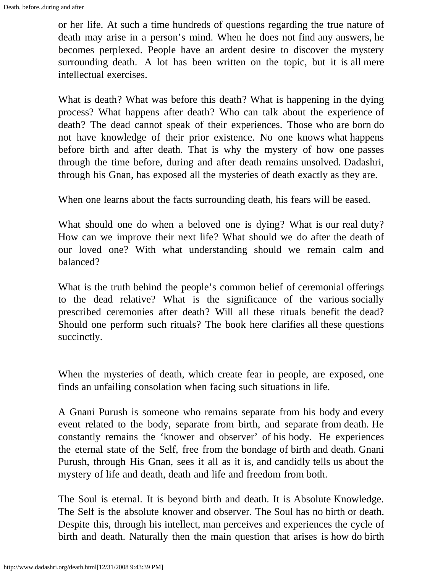or her life. At such a time hundreds of questions regarding the true nature of death may arise in a person's mind. When he does not find any answers, he becomes perplexed. People have an ardent desire to discover the mystery surrounding death. A lot has been written on the topic, but it is all mere intellectual exercises.

What is death? What was before this death? What is happening in the dying process? What happens after death? Who can talk about the experience of death? The dead cannot speak of their experiences. Those who are born do not have knowledge of their prior existence. No one knows what happens before birth and after death. That is why the mystery of how one passes through the time before, during and after death remains unsolved. Dadashri, through his Gnan, has exposed all the mysteries of death exactly as they are.

When one learns about the facts surrounding death, his fears will be eased.

What should one do when a beloved one is dying? What is our real duty? How can we improve their next life? What should we do after the death of our loved one? With what understanding should we remain calm and balanced?

What is the truth behind the people's common belief of ceremonial offerings to the dead relative? What is the significance of the various socially prescribed ceremonies after death? Will all these rituals benefit the dead? Should one perform such rituals? The book here clarifies all these questions succinctly.

When the mysteries of death, which create fear in people, are exposed, one finds an unfailing consolation when facing such situations in life.

A Gnani Purush is someone who remains separate from his body and every event related to the body, separate from birth, and separate from death. He constantly remains the 'knower and observer' of his body. He experiences the eternal state of the Self, free from the bondage of birth and death. Gnani Purush, through His Gnan, sees it all as it is, and candidly tells us about the mystery of life and death, death and life and freedom from both.

The Soul is eternal. It is beyond birth and death. It is Absolute Knowledge. The Self is the absolute knower and observer. The Soul has no birth or death. Despite this, through his intellect, man perceives and experiences the cycle of birth and death. Naturally then the main question that arises is how do birth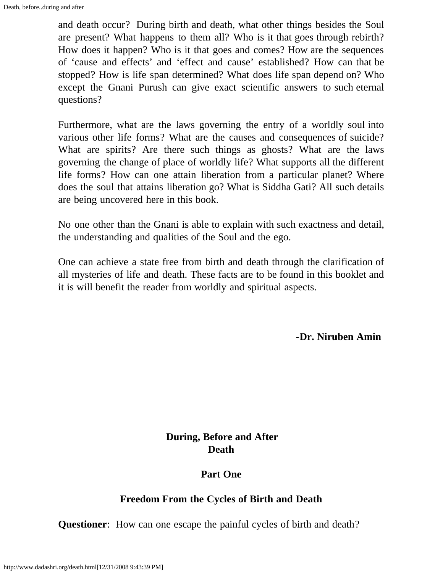and death occur? During birth and death, what other things besides the Soul are present? What happens to them all? Who is it that goes through rebirth? How does it happen? Who is it that goes and comes? How are the sequences of 'cause and effects' and 'effect and cause' established? How can that be stopped? How is life span determined? What does life span depend on? Who except the Gnani Purush can give exact scientific answers to such eternal questions?

Furthermore, what are the laws governing the entry of a worldly soul into various other life forms? What are the causes and consequences of suicide? What are spirits? Are there such things as ghosts? What are the laws governing the change of place of worldly life? What supports all the different life forms? How can one attain liberation from a particular planet? Where does the soul that attains liberation go? What is Siddha Gati? All such details are being uncovered here in this book.

No one other than the Gnani is able to explain with such exactness and detail, the understanding and qualities of the Soul and the ego.

One can achieve a state free from birth and death through the clarification of all mysteries of life and death. These facts are to be found in this booklet and it is will benefit the reader from worldly and spiritual aspects.

**-Dr. Niruben Amin**

### **During, Before and After Death**

#### **Part One**

#### **Freedom From the Cycles of Birth and Death**

**Questioner**: How can one escape the painful cycles of birth and death?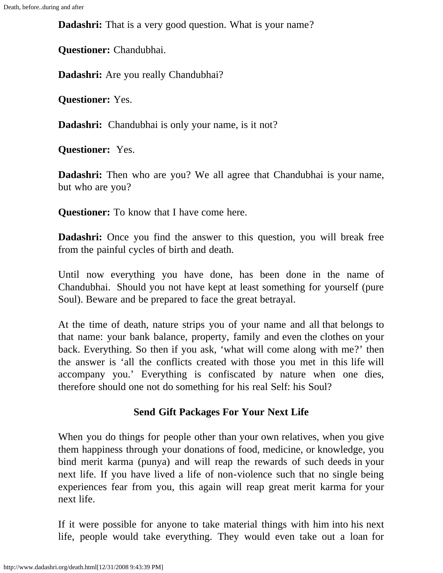**Dadashri:** That is a very good question. What is your name?

**Questioner:** Chandubhai.

**Dadashri:** Are you really Chandubhai?

**Questioner:** Yes.

**Dadashri:** Chandubhai is only your name, is it not?

**Questioner:** Yes.

**Dadashri:** Then who are you? We all agree that Chandubhai is your name, but who are you?

**Questioner:** To know that I have come here.

**Dadashri:** Once you find the answer to this question, you will break free from the painful cycles of birth and death.

Until now everything you have done, has been done in the name of Chandubhai. Should you not have kept at least something for yourself (pure Soul). Beware and be prepared to face the great betrayal.

At the time of death, nature strips you of your name and all that belongs to that name: your bank balance, property, family and even the clothes on your back. Everything. So then if you ask, 'what will come along with me?' then the answer is 'all the conflicts created with those you met in this life will accompany you.' Everything is confiscated by nature when one dies, therefore should one not do something for his real Self: his Soul?

# **Send Gift Packages For Your Next Life**

When you do things for people other than your own relatives, when you give them happiness through your donations of food, medicine, or knowledge, you bind merit karma (punya) and will reap the rewards of such deeds in your next life. If you have lived a life of non-violence such that no single being experiences fear from you, this again will reap great merit karma for your next life.

If it were possible for anyone to take material things with him into his next life, people would take everything. They would even take out a loan for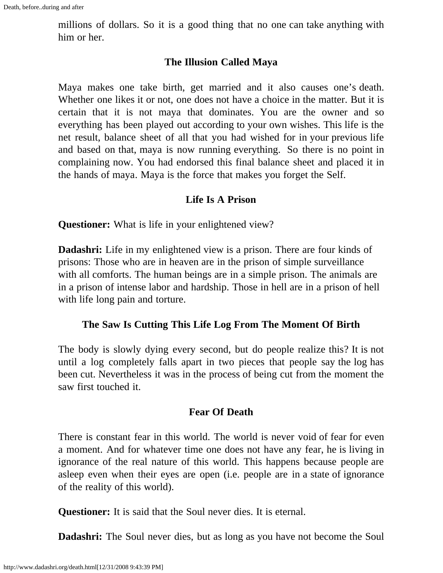millions of dollars. So it is a good thing that no one can take anything with him or her.

#### **The Illusion Called Maya**

Maya makes one take birth, get married and it also causes one's death. Whether one likes it or not, one does not have a choice in the matter. But it is certain that it is not maya that dominates. You are the owner and so everything has been played out according to your own wishes. This life is the net result, balance sheet of all that you had wished for in your previous life and based on that, maya is now running everything. So there is no point in complaining now. You had endorsed this final balance sheet and placed it in the hands of maya*.* Maya is the force that makes you forget the Self.

#### **Life Is A Prison**

**Questioner:** What is life in your enlightened view?

**Dadashri:** Life in my enlightened view is a prison. There are four kinds of prisons: Those who are in heaven are in the prison of simple surveillance with all comforts. The human beings are in a simple prison. The animals are in a prison of intense labor and hardship. Those in hell are in a prison of hell with life long pain and torture.

#### **The Saw Is Cutting This Life Log From The Moment Of Birth**

The body is slowly dying every second, but do people realize this? It is not until a log completely falls apart in two pieces that people say the log has been cut. Nevertheless it was in the process of being cut from the moment the saw first touched it.

#### **Fear Of Death**

There is constant fear in this world. The world is never void of fear for even a moment. And for whatever time one does not have any fear, he is living in ignorance of the real nature of this world. This happens because people are asleep even when their eyes are open (i.e. people are in a state of ignorance of the reality of this world).

**Questioner:** It is said that the Soul never dies. It is eternal.

**Dadashri:** The Soul never dies, but as long as you have not become the Soul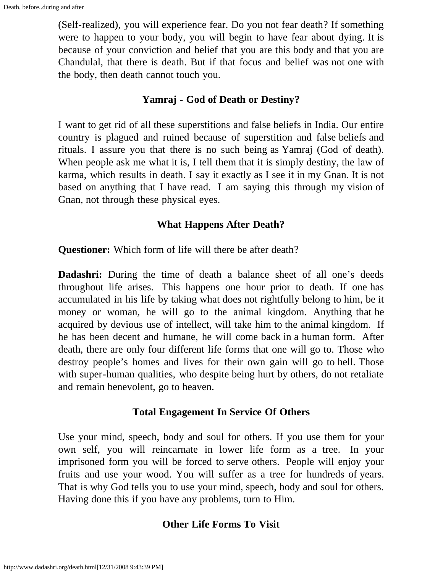(Self-realized), you will experience fear. Do you not fear death? If something were to happen to your body, you will begin to have fear about dying. It is because of your conviction and belief that you are this body and that you are Chandulal, that there is death. But if that focus and belief was not one with the body, then death cannot touch you.

### **Yamraj - God of Death or Destiny?**

I want to get rid of all these superstitions and false beliefs in India. Our entire country is plagued and ruined because of superstition and false beliefs and rituals. I assure you that there is no such being as Yamraj (God of death). When people ask me what it is, I tell them that it is simply destiny, the law of karma, which results in death. I say it exactly as I see it in my Gnan. It is not based on anything that I have read. I am saying this through my vision of Gnan, not through these physical eyes.

### **What Happens After Death?**

**Questioner:** Which form of life will there be after death?

**Dadashri:** During the time of death a balance sheet of all one's deeds throughout life arises. This happens one hour prior to death. If one has accumulated in his life by taking what does not rightfully belong to him, be it money or woman, he will go to the animal kingdom. Anything that he acquired by devious use of intellect, will take him to the animal kingdom. If he has been decent and humane, he will come back in a human form. After death, there are only four different life forms that one will go to. Those who destroy people's homes and lives for their own gain will go to hell. Those with super-human qualities, who despite being hurt by others, do not retaliate and remain benevolent, go to heaven.

#### **Total Engagement In Service Of Others**

Use your mind, speech, body and soul for others. If you use them for your own self, you will reincarnate in lower life form as a tree. In your imprisoned form you will be forced to serve others. People will enjoy your fruits and use your wood. You will suffer as a tree for hundreds of years. That is why God tells you to use your mind, speech, body and soul for others. Having done this if you have any problems, turn to Him.

#### **Other Life Forms To Visit**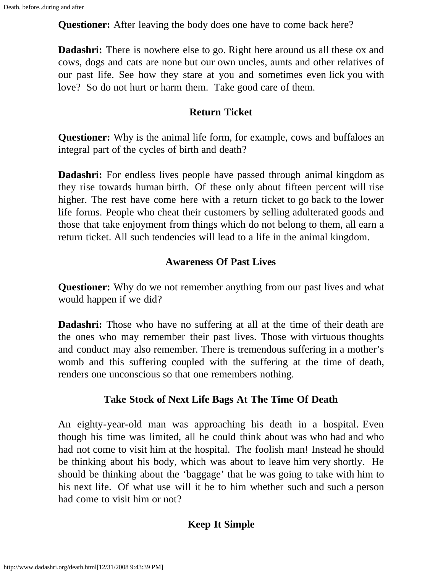**Questioner:** After leaving the body does one have to come back here?

**Dadashri:** There is nowhere else to go. Right here around us all these ox and cows, dogs and cats are none but our own uncles, aunts and other relatives of our past life. See how they stare at you and sometimes even lick you with love? So do not hurt or harm them. Take good care of them.

### **Return Ticket**

**Questioner:** Why is the animal life form, for example, cows and buffaloes an integral part of the cycles of birth and death?

**Dadashri:** For endless lives people have passed through animal kingdom as they rise towards human birth. Of these only about fifteen percent will rise higher. The rest have come here with a return ticket to go back to the lower life forms. People who cheat their customers by selling adulterated goods and those that take enjoyment from things which do not belong to them, all earn a return ticket. All such tendencies will lead to a life in the animal kingdom.

# **Awareness Of Past Lives**

**Questioner:** Why do we not remember anything from our past lives and what would happen if we did?

**Dadashri:** Those who have no suffering at all at the time of their death are the ones who may remember their past lives. Those with virtuous thoughts and conduct may also remember. There is tremendous suffering in a mother's womb and this suffering coupled with the suffering at the time of death, renders one unconscious so that one remembers nothing.

# **Take Stock of Next Life Bags At The Time Of Death**

An eighty-year-old man was approaching his death in a hospital. Even though his time was limited, all he could think about was who had and who had not come to visit him at the hospital. The foolish man! Instead he should be thinking about his body, which was about to leave him very shortly. He should be thinking about the 'baggage' that he was going to take with him to his next life. Of what use will it be to him whether such and such a person had come to visit him or not?

#### **Keep It Simple**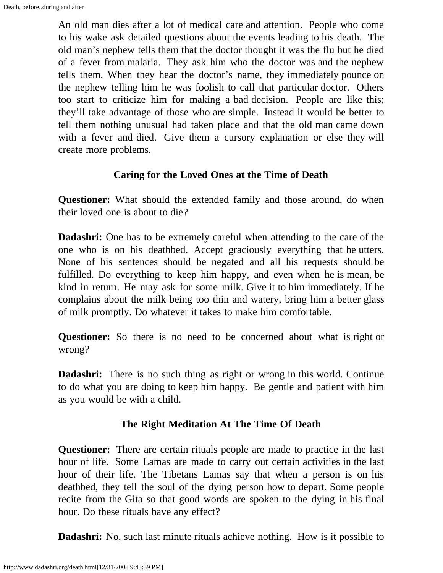An old man dies after a lot of medical care and attention. People who come to his wake ask detailed questions about the events leading to his death. The old man's nephew tells them that the doctor thought it was the flu but he died of a fever from malaria. They ask him who the doctor was and the nephew tells them. When they hear the doctor's name, they immediately pounce on the nephew telling him he was foolish to call that particular doctor. Others too start to criticize him for making a bad decision. People are like this; they'll take advantage of those who are simple. Instead it would be better to tell them nothing unusual had taken place and that the old man came down with a fever and died. Give them a cursory explanation or else they will create more problems.

#### **Caring for the Loved Ones at the Time of Death**

**Questioner:** What should the extended family and those around, do when their loved one is about to die?

**Dadashri:** One has to be extremely careful when attending to the care of the one who is on his deathbed. Accept graciously everything that he utters. None of his sentences should be negated and all his requests should be fulfilled. Do everything to keep him happy, and even when he is mean, be kind in return. He may ask for some milk. Give it to him immediately. If he complains about the milk being too thin and watery, bring him a better glass of milk promptly. Do whatever it takes to make him comfortable.

**Questioner:** So there is no need to be concerned about what is right or wrong?

**Dadashri:** There is no such thing as right or wrong in this world. Continue to do what you are doing to keep him happy. Be gentle and patient with him as you would be with a child.

#### **The Right Meditation At The Time Of Death**

**Questioner:** There are certain rituals people are made to practice in the last hour of life. Some Lamas are made to carry out certain activities in the last hour of their life. The Tibetans Lamas say that when a person is on his deathbed, they tell the soul of the dying person how to depart. Some people recite from the Gita so that good words are spoken to the dying in his final hour. Do these rituals have any effect?

**Dadashri:** No, such last minute rituals achieve nothing. How is it possible to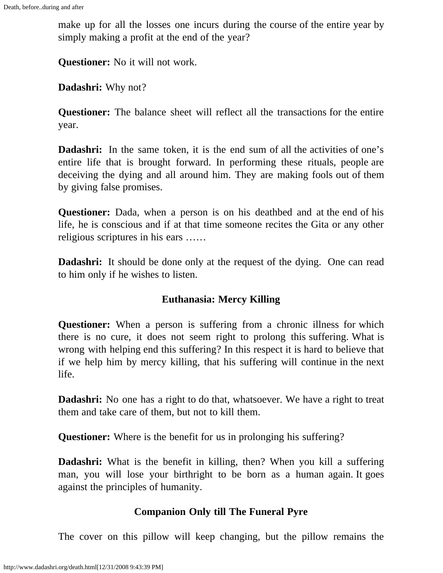make up for all the losses one incurs during the course of the entire year by simply making a profit at the end of the year?

**Questioner:** No it will not work.

**Dadashri:** Why not?

**Questioner:** The balance sheet will reflect all the transactions for the entire year.

**Dadashri:** In the same token, it is the end sum of all the activities of one's entire life that is brought forward. In performing these rituals, people are deceiving the dying and all around him. They are making fools out of them by giving false promises.

**Questioner:** Dada, when a person is on his deathbed and at the end of his life, he is conscious and if at that time someone recites the Gita or any other religious scriptures in his ears ……

**Dadashri:** It should be done only at the request of the dying. One can read to him only if he wishes to listen.

# **Euthanasia: Mercy Killing**

**Questioner:** When a person is suffering from a chronic illness for which there is no cure, it does not seem right to prolong this suffering. What is wrong with helping end this suffering? In this respect it is hard to believe that if we help him by mercy killing, that his suffering will continue in the next life.

**Dadashri:** No one has a right to do that, whatsoever. We have a right to treat them and take care of them, but not to kill them.

**Questioner:** Where is the benefit for us in prolonging his suffering?

**Dadashri:** What is the benefit in killing, then? When you kill a suffering man, you will lose your birthright to be born as a human again. It goes against the principles of humanity.

# **Companion Only till The Funeral Pyre**

The cover on this pillow will keep changing, but the pillow remains the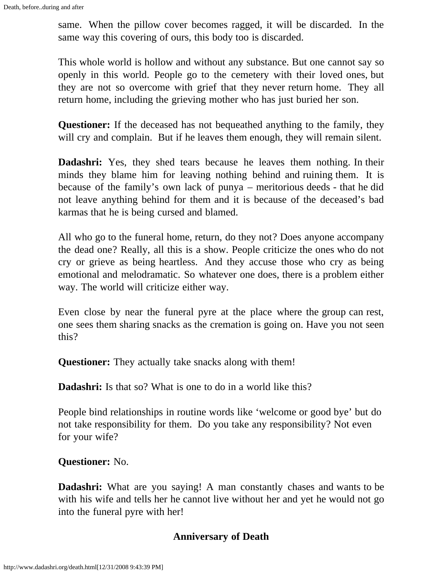same. When the pillow cover becomes ragged, it will be discarded. In the same way this covering of ours, this body too is discarded.

This whole world is hollow and without any substance. But one cannot say so openly in this world. People go to the cemetery with their loved ones, but they are not so overcome with grief that they never return home. They all return home, including the grieving mother who has just buried her son.

**Questioner:** If the deceased has not bequeathed anything to the family, they will cry and complain. But if he leaves them enough, they will remain silent.

**Dadashri:** Yes, they shed tears because he leaves them nothing. In their minds they blame him for leaving nothing behind and ruining them. It is because of the family's own lack of punya – meritorious deeds - that he did not leave anything behind for them and it is because of the deceased's bad karmas that he is being cursed and blamed.

All who go to the funeral home, return, do they not? Does anyone accompany the dead one? Really, all this is a show. People criticize the ones who do not cry or grieve as being heartless. And they accuse those who cry as being emotional and melodramatic. So whatever one does, there is a problem either way. The world will criticize either way.

Even close by near the funeral pyre at the place where the group can rest, one sees them sharing snacks as the cremation is going on. Have you not seen this?

**Questioner:** They actually take snacks along with them!

**Dadashri:** Is that so? What is one to do in a world like this?

People bind relationships in routine words like 'welcome or good bye' but do not take responsibility for them. Do you take any responsibility? Not even for your wife?

#### **Questioner:** No.

**Dadashri:** What are you saying! A man constantly chases and wants to be with his wife and tells her he cannot live without her and yet he would not go into the funeral pyre with her!

# **Anniversary of Death**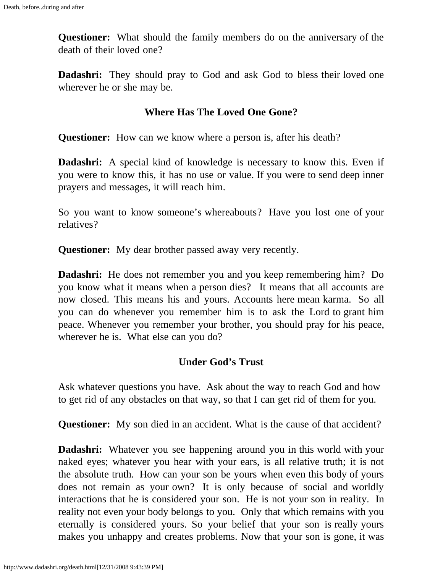**Questioner:** What should the family members do on the anniversary of the death of their loved one?

**Dadashri:** They should pray to God and ask God to bless their loved one wherever he or she may be.

#### **Where Has The Loved One Gone?**

**Questioner:** How can we know where a person is, after his death?

**Dadashri:** A special kind of knowledge is necessary to know this. Even if you were to know this, it has no use or value. If you were to send deep inner prayers and messages, it will reach him.

So you want to know someone's whereabouts? Have you lost one of your relatives?

**Questioner:** My dear brother passed away very recently.

**Dadashri:** He does not remember you and you keep remembering him? Do you know what it means when a person dies? It means that all accounts are now closed. This means his and yours. Accounts here mean karma. So all you can do whenever you remember him is to ask the Lord to grant him peace. Whenever you remember your brother, you should pray for his peace, wherever he is. What else can you do?

#### **Under God's Trust**

Ask whatever questions you have. Ask about the way to reach God and how to get rid of any obstacles on that way, so that I can get rid of them for you.

**Questioner:** My son died in an accident. What is the cause of that accident?

**Dadashri:** Whatever you see happening around you in this world with your naked eyes; whatever you hear with your ears, is all relative truth; it is not the absolute truth. How can your son be yours when even this body of yours does not remain as your own? It is only because of social and worldly interactions that he is considered your son. He is not your son in reality. In reality not even your body belongs to you. Only that which remains with you eternally is considered yours. So your belief that your son is really yours makes you unhappy and creates problems. Now that your son is gone, it was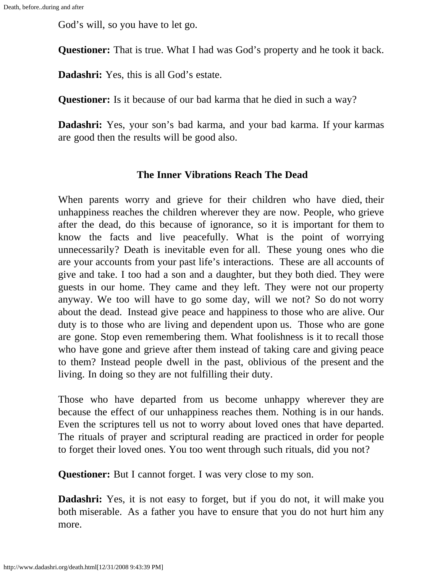God's will, so you have to let go.

**Questioner:** That is true. What I had was God's property and he took it back.

**Dadashri:** Yes, this is all God's estate.

**Questioner:** Is it because of our bad karma that he died in such a way?

**Dadashri:** Yes, your son's bad karma, and your bad karma. If your karmas are good then the results will be good also.

#### **The Inner Vibrations Reach The Dead**

When parents worry and grieve for their children who have died, their unhappiness reaches the children wherever they are now. People, who grieve after the dead, do this because of ignorance, so it is important for them to know the facts and live peacefully. What is the point of worrying unnecessarily? Death is inevitable even for all. These young ones who die are your accounts from your past life's interactions. These are all accounts of give and take. I too had a son and a daughter, but they both died. They were guests in our home. They came and they left. They were not our property anyway. We too will have to go some day, will we not? So do not worry about the dead. Instead give peace and happiness to those who are alive. Our duty is to those who are living and dependent upon us. Those who are gone are gone. Stop even remembering them. What foolishness is it to recall those who have gone and grieve after them instead of taking care and giving peace to them? Instead people dwell in the past, oblivious of the present and the living. In doing so they are not fulfilling their duty.

Those who have departed from us become unhappy wherever they are because the effect of our unhappiness reaches them. Nothing is in our hands. Even the scriptures tell us not to worry about loved ones that have departed. The rituals of prayer and scriptural reading are practiced in order for people to forget their loved ones. You too went through such rituals, did you not?

**Questioner:** But I cannot forget. I was very close to my son.

**Dadashri:** Yes, it is not easy to forget, but if you do not, it will make you both miserable. As a father you have to ensure that you do not hurt him any more.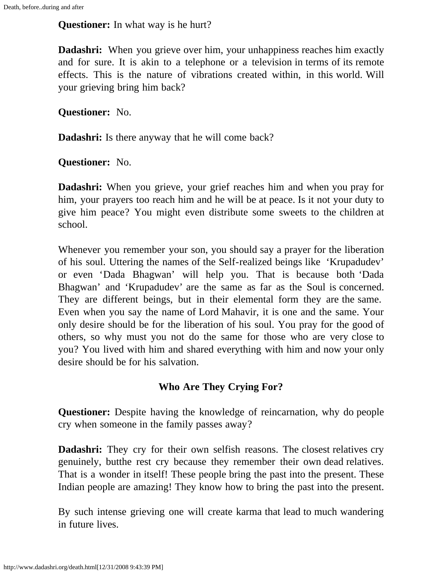**Questioner:** In what way is he hurt?

**Dadashri:** When you grieve over him, your unhappiness reaches him exactly and for sure. It is akin to a telephone or a television in terms of its remote effects. This is the nature of vibrations created within, in this world. Will your grieving bring him back?

**Questioner:** No.

**Dadashri:** Is there anyway that he will come back?

**Questioner:** No.

**Dadashri:** When you grieve, your grief reaches him and when you pray for him, your prayers too reach him and he will be at peace. Is it not your duty to give him peace? You might even distribute some sweets to the children at school.

Whenever you remember your son, you should say a prayer for the liberation of his soul. Uttering the names of the Self-realized beings like 'Krupadudev' or even 'Dada Bhagwan' will help you. That is because both 'Dada Bhagwan' and 'Krupadudev' are the same as far as the Soul is concerned. They are different beings, but in their elemental form they are the same. Even when you say the name of Lord Mahavir, it is one and the same. Your only desire should be for the liberation of his soul. You pray for the good of others, so why must you not do the same for those who are very close to you? You lived with him and shared everything with him and now your only desire should be for his salvation.

# **Who Are They Crying For?**

**Questioner:** Despite having the knowledge of reincarnation, why do people cry when someone in the family passes away?

**Dadashri:** They cry for their own selfish reasons. The closest relatives cry genuinely, butthe rest cry because they remember their own dead relatives. That is a wonder in itself! These people bring the past into the present. These Indian people are amazing! They know how to bring the past into the present.

By such intense grieving one will create karma that lead to much wandering in future lives.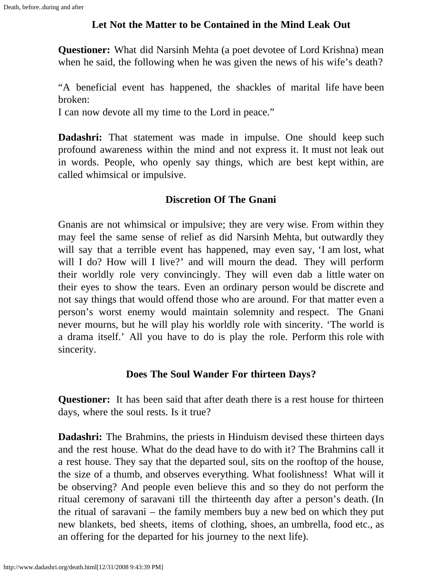# **Let Not the Matter to be Contained in the Mind Leak Out**

**Questioner:** What did Narsinh Mehta (a poet devotee of Lord Krishna) mean when he said, the following when he was given the news of his wife's death?

"A beneficial event has happened, the shackles of marital life have been broken:

I can now devote all my time to the Lord in peace."

**Dadashri:** That statement was made in impulse. One should keep such profound awareness within the mind and not express it. It must not leak out in words. People, who openly say things, which are best kept within, are called whimsical or impulsive.

### **Discretion Of The Gnani**

Gnanis are not whimsical or impulsive; they are very wise. From within they may feel the same sense of relief as did Narsinh Mehta, but outwardly they will say that a terrible event has happened, may even say, 'I am lost, what will I do? How will I live?' and will mourn the dead. They will perform their worldly role very convincingly. They will even dab a little water on their eyes to show the tears. Even an ordinary person would be discrete and not say things that would offend those who are around. For that matter even a person's worst enemy would maintain solemnity and respect. The Gnani never mourns, but he will play his worldly role with sincerity. 'The world is a drama itself.' All you have to do is play the role. Perform this role with sincerity.

#### **Does The Soul Wander For thirteen Days?**

**Questioner:** It has been said that after death there is a rest house for thirteen days, where the soul rests. Is it true?

**Dadashri:** The Brahmins, the priests in Hinduism devised these thirteen days and the rest house. What do the dead have to do with it? The Brahmins call it a rest house. They say that the departed soul, sits on the rooftop of the house, the size of a thumb, and observes everything. What foolishness! What will it be observing? And people even believe this and so they do not perform the ritual ceremony of saravani till the thirteenth day after a person's death. (In the ritual of saravani – the family members buy a new bed on which they put new blankets, bed sheets, items of clothing, shoes, an umbrella, food etc., as an offering for the departed for his journey to the next life).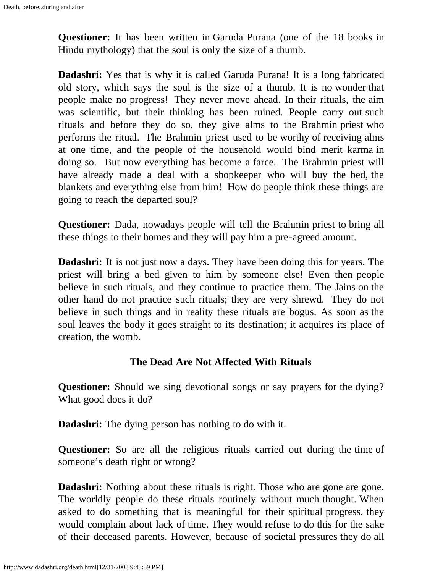**Questioner:** It has been written in Garuda Purana (one of the 18 books in Hindu mythology) that the soul is only the size of a thumb.

**Dadashri:** Yes that is why it is called Garuda Purana! It is a long fabricated old story, which says the soul is the size of a thumb. It is no wonder that people make no progress! They never move ahead. In their rituals, the aim was scientific, but their thinking has been ruined. People carry out such rituals and before they do so, they give alms to the Brahmin priest who performs the ritual. The Brahmin priest used to be worthy of receiving alms at one time, and the people of the household would bind merit karma in doing so. But now everything has become a farce. The Brahmin priest will have already made a deal with a shopkeeper who will buy the bed, the blankets and everything else from him! How do people think these things are going to reach the departed soul?

**Questioner:** Dada, nowadays people will tell the Brahmin priest to bring all these things to their homes and they will pay him a pre-agreed amount.

**Dadashri:** It is not just now a days. They have been doing this for years. The priest will bring a bed given to him by someone else! Even then people believe in such rituals, and they continue to practice them. The Jains on the other hand do not practice such rituals; they are very shrewd. They do not believe in such things and in reality these rituals are bogus. As soon as the soul leaves the body it goes straight to its destination; it acquires its place of creation, the womb.

#### **The Dead Are Not Affected With Rituals**

**Questioner:** Should we sing devotional songs or say prayers for the dying? What good does it do?

**Dadashri:** The dying person has nothing to do with it.

**Questioner:** So are all the religious rituals carried out during the time of someone's death right or wrong?

**Dadashri:** Nothing about these rituals is right. Those who are gone are gone. The worldly people do these rituals routinely without much thought. When asked to do something that is meaningful for their spiritual progress, they would complain about lack of time. They would refuse to do this for the sake of their deceased parents. However, because of societal pressures they do all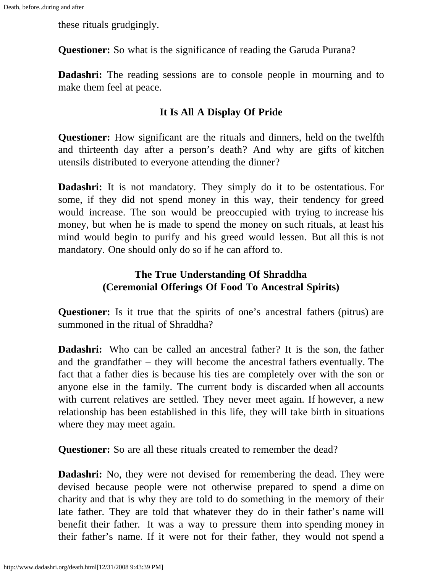these rituals grudgingly.

**Questioner:** So what is the significance of reading the Garuda Purana?

**Dadashri:** The reading sessions are to console people in mourning and to make them feel at peace.

### **It Is All A Display Of Pride**

**Questioner:** How significant are the rituals and dinners, held on the twelfth and thirteenth day after a person's death? And why are gifts of kitchen utensils distributed to everyone attending the dinner?

**Dadashri:** It is not mandatory. They simply do it to be ostentatious. For some, if they did not spend money in this way, their tendency for greed would increase. The son would be preoccupied with trying to increase his money, but when he is made to spend the money on such rituals, at least his mind would begin to purify and his greed would lessen. But all this is not mandatory. One should only do so if he can afford to.

### **The True Understanding Of Shraddha (Ceremonial Offerings Of Food To Ancestral Spirits)**

**Questioner:** Is it true that the spirits of one's ancestral fathers (pitrus) are summoned in the ritual of Shraddha?

**Dadashri:** Who can be called an ancestral father? It is the son, the father and the grandfather – they will become the ancestral fathers eventually. The fact that a father dies is because his ties are completely over with the son or anyone else in the family. The current body is discarded when all accounts with current relatives are settled. They never meet again. If however, a new relationship has been established in this life, they will take birth in situations where they may meet again.

**Questioner:** So are all these rituals created to remember the dead?

**Dadashri:** No, they were not devised for remembering the dead. They were devised because people were not otherwise prepared to spend a dime on charity and that is why they are told to do something in the memory of their late father. They are told that whatever they do in their father's name will benefit their father. It was a way to pressure them into spending money in their father's name. If it were not for their father, they would not spend a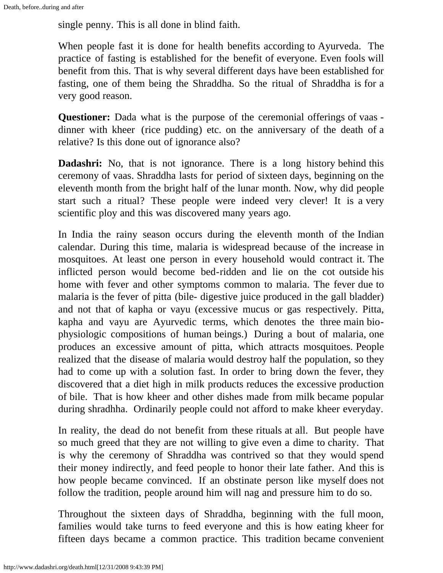single penny. This is all done in blind faith.

When people fast it is done for health benefits according to Ayurveda. The practice of fasting is established for the benefit of everyone. Even fools will benefit from this. That is why several different days have been established for fasting, one of them being the Shraddha. So the ritual of Shraddha is for a very good reason.

**Questioner:** Dada what is the purpose of the ceremonial offerings of vaas dinner with kheer (rice pudding) etc. on the anniversary of the death of a relative? Is this done out of ignorance also?

**Dadashri:** No, that is not ignorance. There is a long history behind this ceremony of vaas. Shraddha lasts for period of sixteen days, beginning on the eleventh month from the bright half of the lunar month. Now, why did people start such a ritual? These people were indeed very clever! It is a very scientific ploy and this was discovered many years ago.

In India the rainy season occurs during the eleventh month of the Indian calendar. During this time, malaria is widespread because of the increase in mosquitoes. At least one person in every household would contract it. The inflicted person would become bed-ridden and lie on the cot outside his home with fever and other symptoms common to malaria. The fever due to malaria is the fever of pitta (bile- digestive juice produced in the gall bladder) and not that of kapha or vayu (excessive mucus or gas respectively. Pitta, kapha and vayu are Ayurvedic terms, which denotes the three main biophysiologic compositions of human beings.) During a bout of malaria, one produces an excessive amount of pitta, which attracts mosquitoes. People realized that the disease of malaria would destroy half the population, so they had to come up with a solution fast. In order to bring down the fever, they discovered that a diet high in milk products reduces the excessive production of bile. That is how kheer and other dishes made from milk became popular during shradhha. Ordinarily people could not afford to make kheer everyday.

In reality, the dead do not benefit from these rituals at all. But people have so much greed that they are not willing to give even a dime to charity. That is why the ceremony of Shraddha was contrived so that they would spend their money indirectly, and feed people to honor their late father. And this is how people became convinced. If an obstinate person like myself does not follow the tradition, people around him will nag and pressure him to do so.

Throughout the sixteen days of Shraddha, beginning with the full moon, families would take turns to feed everyone and this is how eating kheer for fifteen days became a common practice. This tradition became convenient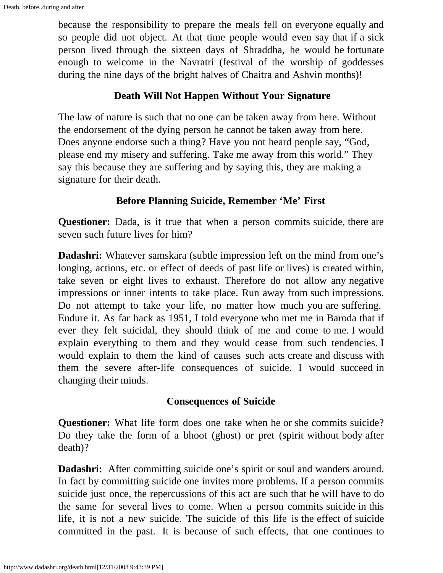because the responsibility to prepare the meals fell on everyone equally and so people did not object. At that time people would even say that if a sick person lived through the sixteen days of Shraddha, he would be fortunate enough to welcome in the Navratri (festival of the worship of goddesses during the nine days of the bright halves of Chaitra and Ashvin months)!

#### **Death Will Not Happen Without Your Signature**

The law of nature is such that no one can be taken away from here. Without the endorsement of the dying person he cannot be taken away from here. Does anyone endorse such a thing? Have you not heard people say, "God, please end my misery and suffering. Take me away from this world." They say this because they are suffering and by saying this, they are making a signature for their death.

#### **Before Planning Suicide, Remember 'Me' First**

**Questioner:** Dada, is it true that when a person commits suicide, there are seven such future lives for him?

**Dadashri:** Whatever samskara (subtle impression left on the mind from one's longing, actions, etc. or effect of deeds of past life or lives) is created within, take seven or eight lives to exhaust. Therefore do not allow any negative impressions or inner intents to take place. Run away from such impressions. Do not attempt to take your life, no matter how much you are suffering. Endure it. As far back as 1951, I told everyone who met me in Baroda that if ever they felt suicidal, they should think of me and come to me. I would explain everything to them and they would cease from such tendencies. I would explain to them the kind of causes such acts create and discuss with them the severe after-life consequences of suicide. I would succeed in changing their minds.

#### **Consequences of Suicide**

**Questioner:** What life form does one take when he or she commits suicide? Do they take the form of a bhoot (ghost) or pret (spirit without body after death)?

**Dadashri:** After committing suicide one's spirit or soul and wanders around. In fact by committing suicide one invites more problems. If a person commits suicide just once, the repercussions of this act are such that he will have to do the same for several lives to come. When a person commits suicide in this life, it is not a new suicide. The suicide of this life is the effect of suicide committed in the past. It is because of such effects, that one continues to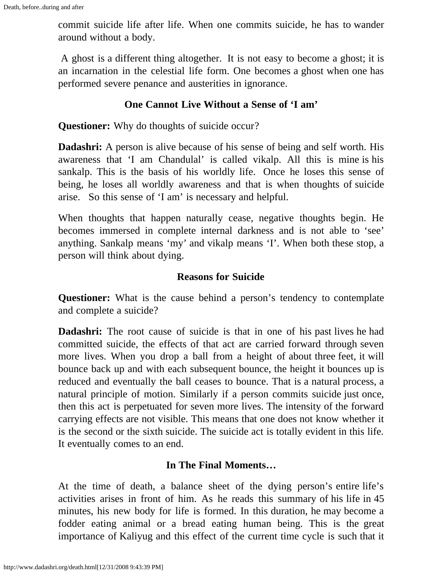commit suicide life after life. When one commits suicide, he has to wander around without a body.

A ghost is a different thing altogether. It is not easy to become a ghost; it is an incarnation in the celestial life form. One becomes a ghost when one has performed severe penance and austerities in ignorance.

### **One Cannot Live Without a Sense of 'I am'**

**Questioner:** Why do thoughts of suicide occur?

**Dadashri:** A person is alive because of his sense of being and self worth. His awareness that 'I am Chandulal' is called vikalp. All this is mine is his sankalp. This is the basis of his worldly life. Once he loses this sense of being, he loses all worldly awareness and that is when thoughts of suicide arise. So this sense of 'I am' is necessary and helpful.

When thoughts that happen naturally cease, negative thoughts begin. He becomes immersed in complete internal darkness and is not able to 'see' anything. Sankalp means 'my' and vikalp means 'I'. When both these stop, a person will think about dying.

#### **Reasons for Suicide**

**Questioner:** What is the cause behind a person's tendency to contemplate and complete a suicide?

**Dadashri:** The root cause of suicide is that in one of his past lives he had committed suicide, the effects of that act are carried forward through seven more lives. When you drop a ball from a height of about three feet, it will bounce back up and with each subsequent bounce, the height it bounces up is reduced and eventually the ball ceases to bounce. That is a natural process, a natural principle of motion. Similarly if a person commits suicide just once, then this act is perpetuated for seven more lives. The intensity of the forward carrying effects are not visible. This means that one does not know whether it is the second or the sixth suicide. The suicide act is totally evident in this life. It eventually comes to an end.

# **In The Final Moments…**

At the time of death, a balance sheet of the dying person's entire life's activities arises in front of him. As he reads this summary of his life in 45 minutes, his new body for life is formed. In this duration, he may become a fodder eating animal or a bread eating human being. This is the great importance of Kaliyug and this effect of the current time cycle is such that it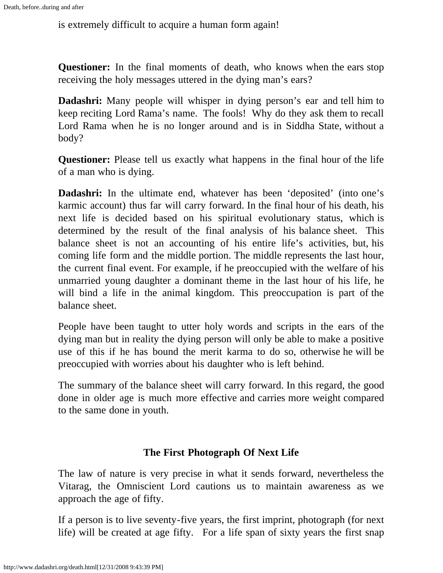is extremely difficult to acquire a human form again!

**Questioner:** In the final moments of death, who knows when the ears stop receiving the holy messages uttered in the dying man's ears?

**Dadashri:** Many people will whisper in dying person's ear and tell him to keep reciting Lord Rama's name. The fools! Why do they ask them to recall Lord Rama when he is no longer around and is in Siddha State, without a body?

**Questioner:** Please tell us exactly what happens in the final hour of the life of a man who is dying.

**Dadashri:** In the ultimate end, whatever has been 'deposited' (into one's karmic account) thus far will carry forward. In the final hour of his death, his next life is decided based on his spiritual evolutionary status, which is determined by the result of the final analysis of his balance sheet. This balance sheet is not an accounting of his entire life's activities, but, his coming life form and the middle portion. The middle represents the last hour, the current final event. For example, if he preoccupied with the welfare of his unmarried young daughter a dominant theme in the last hour of his life, he will bind a life in the animal kingdom. This preoccupation is part of the balance sheet.

People have been taught to utter holy words and scripts in the ears of the dying man but in reality the dying person will only be able to make a positive use of this if he has bound the merit karma to do so, otherwise he will be preoccupied with worries about his daughter who is left behind.

The summary of the balance sheet will carry forward. In this regard, the good done in older age is much more effective and carries more weight compared to the same done in youth.

# **The First Photograph Of Next Life**

The law of nature is very precise in what it sends forward, nevertheless the Vitarag, the Omniscient Lord cautions us to maintain awareness as we approach the age of fifty.

If a person is to live seventy-five years, the first imprint, photograph (for next life) will be created at age fifty. For a life span of sixty years the first snap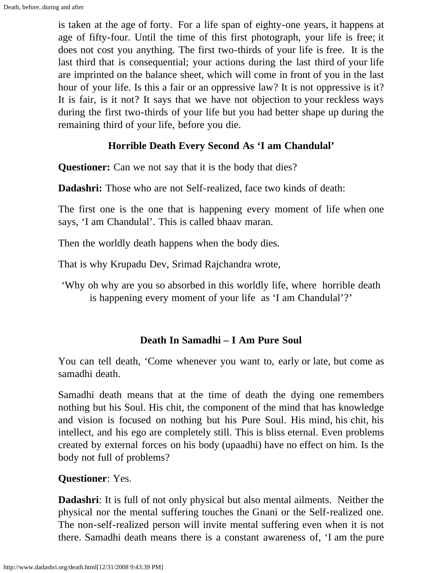is taken at the age of forty. For a life span of eighty-one years, it happens at age of fifty-four. Until the time of this first photograph, your life is free; it does not cost you anything. The first two-thirds of your life is free. It is the last third that is consequential; your actions during the last third of your life are imprinted on the balance sheet, which will come in front of you in the last hour of your life. Is this a fair or an oppressive law? It is not oppressive is it? It is fair, is it not? It says that we have not objection to your reckless ways during the first two-thirds of your life but you had better shape up during the remaining third of your life, before you die.

### **Horrible Death Every Second As 'I am Chandulal'**

**Questioner:** Can we not say that it is the body that dies?

**Dadashri:** Those who are not Self-realized, face two kinds of death:

The first one is the one that is happening every moment of life when one says, 'I am Chandulal'. This is called bhaav maran.

Then the worldly death happens when the body dies.

That is why Krupadu Dev, Srimad Rajchandra wrote,

'Why oh why are you so absorbed in this worldly life, where horrible death is happening every moment of your life as 'I am Chandulal'?'

#### **Death In Samadhi – I Am Pure Soul**

You can tell death, 'Come whenever you want to, early or late, but come as samadhi death.

Samadhi death means that at the time of death the dying one remembers nothing but his Soul. His chit, the component of the mind that has knowledge and vision is focused on nothing but his Pure Soul. His mind, his chit, his intellect, and his ego are completely still. This is bliss eternal. Even problems created by external forces on his body (upaadhi) have no effect on him. Is the body not full of problems?

# **Questioner**: Yes.

**Dadashri**: It is full of not only physical but also mental ailments. Neither the physical nor the mental suffering touches the Gnani or the Self-realized one. The non-self-realized person will invite mental suffering even when it is not there. Samadhi death means there is a constant awareness of, 'I am the pure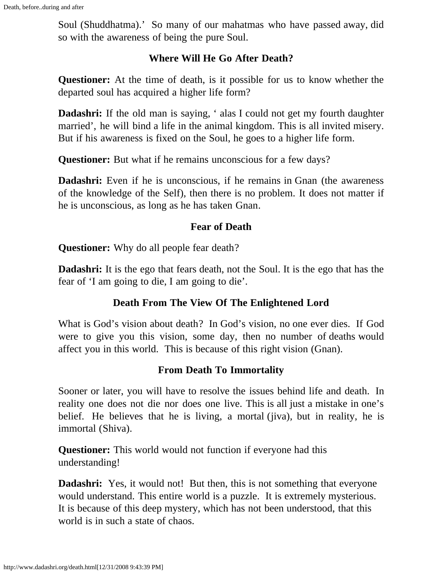Soul (Shuddhatma).' So many of our mahatmas who have passed away, did so with the awareness of being the pure Soul.

#### **Where Will He Go After Death?**

**Questioner:** At the time of death, is it possible for us to know whether the departed soul has acquired a higher life form?

**Dadashri:** If the old man is saying, ' alas I could not get my fourth daughter married', he will bind a life in the animal kingdom. This is all invited misery. But if his awareness is fixed on the Soul, he goes to a higher life form.

**Questioner:** But what if he remains unconscious for a few days?

**Dadashri:** Even if he is unconscious, if he remains in Gnan (the awareness of the knowledge of the Self)*,* then there is no problem. It does not matter if he is unconscious, as long as he has taken Gnan*.*

#### **Fear of Death**

**Questioner:** Why do all people fear death?

**Dadashri:** It is the ego that fears death, not the Soul. It is the ego that has the fear of 'I am going to die, I am going to die'.

#### **Death From The View Of The Enlightened Lord**

What is God's vision about death? In God's vision, no one ever dies. If God were to give you this vision, some day, then no number of deaths would affect you in this world. This is because of this right vision (Gnan).

#### **From Death To Immortality**

Sooner or later, you will have to resolve the issues behind life and death. In reality one does not die nor does one live. This is all just a mistake in one's belief. He believes that he is living, a mortal (jiva)*,* but in reality, he is immortal (Shiva)*.*

**Questioner:** This world would not function if everyone had this understanding!

**Dadashri:** Yes, it would not! But then, this is not something that everyone would understand. This entire world is a puzzle. It is extremely mysterious. It is because of this deep mystery, which has not been understood, that this world is in such a state of chaos.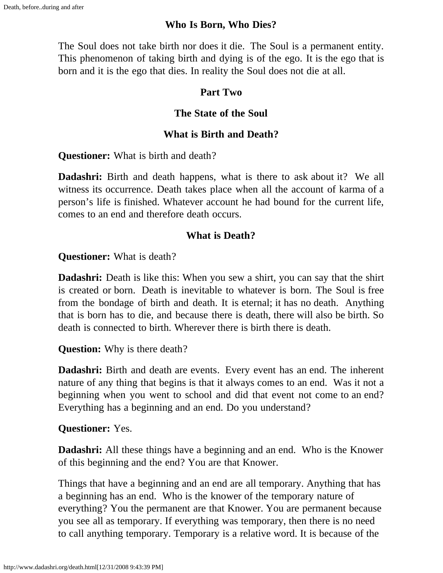#### **Who Is Born, Who Dies?**

The Soul does not take birth nor does it die. The Soul is a permanent entity. This phenomenon of taking birth and dying is of the ego. It is the ego that is born and it is the ego that dies. In reality the Soul does not die at all.

#### **Part Two**

### **The State of the Soul**

# **What is Birth and Death?**

**Questioner:** What is birth and death?

**Dadashri:** Birth and death happens, what is there to ask about it? We all witness its occurrence. Death takes place when all the account of karma of a person's life is finished. Whatever account he had bound for the current life, comes to an end and therefore death occurs.

#### **What is Death?**

**Questioner:** What is death?

**Dadashri:** Death is like this: When you sew a shirt, you can say that the shirt is created or born. Death is inevitable to whatever is born. The Soul is free from the bondage of birth and death. It is eternal; it has no death. Anything that is born has to die, and because there is death, there will also be birth. So death is connected to birth. Wherever there is birth there is death.

**Question:** Why is there death?

**Dadashri:** Birth and death are events. Every event has an end. The inherent nature of any thing that begins is that it always comes to an end. Was it not a beginning when you went to school and did that event not come to an end? Everything has a beginning and an end. Do you understand?

**Questioner:** Yes.

**Dadashri:** All these things have a beginning and an end. Who is the Knower of this beginning and the end? You are that Knower.

Things that have a beginning and an end are all temporary. Anything that has a beginning has an end. Who is the knower of the temporary nature of everything? You the permanent are that Knower. You are permanent because you see all as temporary. If everything was temporary, then there is no need to call anything temporary. Temporary is a relative word. It is because of the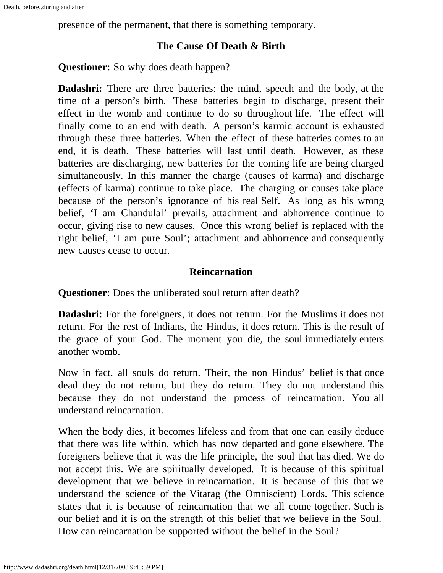presence of the permanent, that there is something temporary.

#### **The Cause Of Death & Birth**

**Questioner:** So why does death happen?

**Dadashri:** There are three batteries: the mind, speech and the body, at the time of a person's birth. These batteries begin to discharge, present their effect in the womb and continue to do so throughout life. The effect will finally come to an end with death. A person's karmic account is exhausted through these three batteries. When the effect of these batteries comes to an end, it is death. These batteries will last until death. However, as these batteries are discharging, new batteries for the coming life are being charged simultaneously. In this manner the charge (causes of karma) and discharge (effects of karma) continue to take place. The charging or causes take place because of the person's ignorance of his real Self. As long as his wrong belief, 'I am Chandulal' prevails, attachment and abhorrence continue to occur, giving rise to new causes. Once this wrong belief is replaced with the right belief, 'I am pure Soul'; attachment and abhorrence and consequently new causes cease to occur.

#### **Reincarnation**

**Questioner**: Does the unliberated soul return after death?

**Dadashri:** For the foreigners, it does not return. For the Muslims it does not return. For the rest of Indians, the Hindus, it does return. This is the result of the grace of your God. The moment you die, the soul immediately enters another womb.

Now in fact, all souls do return. Their, the non Hindus' belief is that once dead they do not return, but they do return. They do not understand this because they do not understand the process of reincarnation. You all understand reincarnation.

When the body dies, it becomes lifeless and from that one can easily deduce that there was life within, which has now departed and gone elsewhere. The foreigners believe that it was the life principle, the soul that has died. We do not accept this. We are spiritually developed. It is because of this spiritual development that we believe in reincarnation. It is because of this that we understand the science of the Vitarag (the Omniscient) Lords. This science states that it is because of reincarnation that we all come together. Such is our belief and it is on the strength of this belief that we believe in the Soul. How can reincarnation be supported without the belief in the Soul?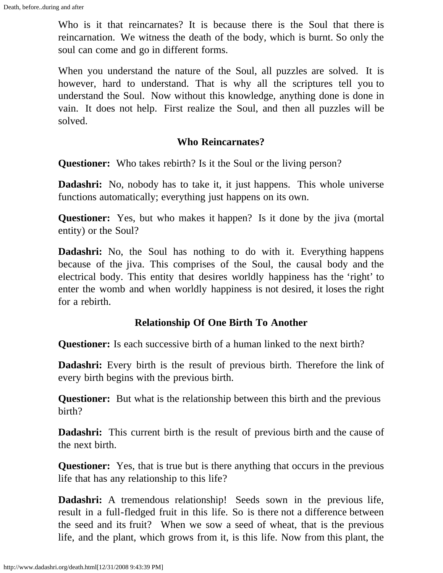Who is it that reincarnates? It is because there is the Soul that there is reincarnation. We witness the death of the body, which is burnt. So only the soul can come and go in different forms.

When you understand the nature of the Soul, all puzzles are solved. It is however, hard to understand. That is why all the scriptures tell you to understand the Soul. Now without this knowledge, anything done is done in vain. It does not help. First realize the Soul, and then all puzzles will be solved.

#### **Who Reincarnates?**

**Questioner:** Who takes rebirth? Is it the Soul or the living person?

**Dadashri:** No, nobody has to take it, it just happens. This whole universe functions automatically; everything just happens on its own.

**Questioner:** Yes, but who makes it happen? Is it done by the jiva (mortal entity) or the Soul?

**Dadashri:** No, the Soul has nothing to do with it. Everything happens because of the jiva. This comprises of the Soul, the causal body and the electrical body. This entity that desires worldly happiness has the 'right' to enter the womb and when worldly happiness is not desired, it loses the right for a rebirth.

#### **Relationship Of One Birth To Another**

**Questioner:** Is each successive birth of a human linked to the next birth?

**Dadashri:** Every birth is the result of previous birth. Therefore the link of every birth begins with the previous birth.

**Questioner:** But what is the relationship between this birth and the previous birth?

**Dadashri:** This current birth is the result of previous birth and the cause of the next birth.

**Questioner:** Yes, that is true but is there anything that occurs in the previous life that has any relationship to this life?

**Dadashri:** A tremendous relationship! Seeds sown in the previous life, result in a full-fledged fruit in this life. So is there not a difference between the seed and its fruit? When we sow a seed of wheat, that is the previous life, and the plant, which grows from it, is this life. Now from this plant, the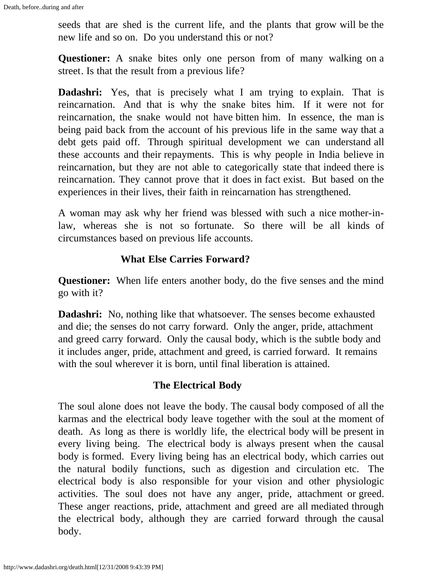seeds that are shed is the current life, and the plants that grow will be the new life and so on. Do you understand this or not?

**Questioner:** A snake bites only one person from of many walking on a street. Is that the result from a previous life?

**Dadashri:** Yes, that is precisely what I am trying to explain. That is reincarnation. And that is why the snake bites him. If it were not for reincarnation, the snake would not have bitten him. In essence, the man is being paid back from the account of his previous life in the same way that a debt gets paid off. Through spiritual development we can understand all these accounts and their repayments. This is why people in India believe in reincarnation, but they are not able to categorically state that indeed there is reincarnation. They cannot prove that it does in fact exist. But based on the experiences in their lives, their faith in reincarnation has strengthened.

A woman may ask why her friend was blessed with such a nice mother-inlaw, whereas she is not so fortunate. So there will be all kinds of circumstances based on previous life accounts.

# **What Else Carries Forward?**

**Questioner:** When life enters another body, do the five senses and the mind go with it?

**Dadashri:** No, nothing like that whatsoever. The senses become exhausted and die; the senses do not carry forward. Only the anger, pride, attachment and greed carry forward. Only the causal body, which is the subtle body and it includes anger, pride, attachment and greed, is carried forward. It remains with the soul wherever it is born, until final liberation is attained.

# **The Electrical Body**

The soul alone does not leave the body. The causal body composed of all the karmas and the electrical body leave together with the soul at the moment of death. As long as there is worldly life, the electrical body will be present in every living being. The electrical body is always present when the causal body is formed. Every living being has an electrical body, which carries out the natural bodily functions, such as digestion and circulation etc. The electrical body is also responsible for your vision and other physiologic activities. The soul does not have any anger, pride, attachment or greed. These anger reactions, pride, attachment and greed are all mediated through the electrical body, although they are carried forward through the causal body.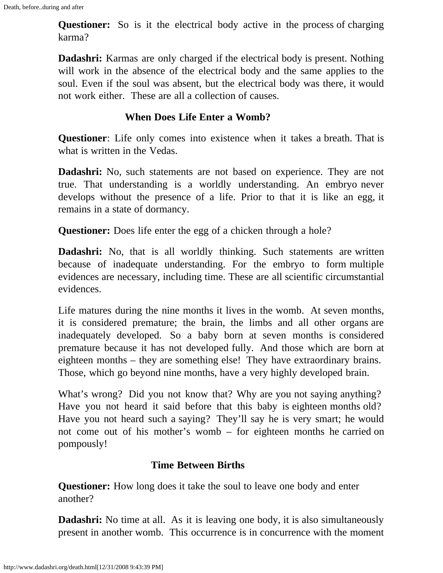**Questioner:** So is it the electrical body active in the process of charging karma?

**Dadashri:** Karmas are only charged if the electrical body is present. Nothing will work in the absence of the electrical body and the same applies to the soul. Even if the soul was absent, but the electrical body was there, it would not work either. These are all a collection of causes.

#### **When Does Life Enter a Womb?**

**Questioner**: Life only comes into existence when it takes a breath. That is what is written in the Vedas.

**Dadashri:** No, such statements are not based on experience. They are not true. That understanding is a worldly understanding. An embryo never develops without the presence of a life. Prior to that it is like an egg, it remains in a state of dormancy.

**Questioner:** Does life enter the egg of a chicken through a hole?

**Dadashri:** No, that is all worldly thinking. Such statements are written because of inadequate understanding. For the embryo to form multiple evidences are necessary, including time. These are all scientific circumstantial evidences.

Life matures during the nine months it lives in the womb. At seven months, it is considered premature; the brain, the limbs and all other organs are inadequately developed. So a baby born at seven months is considered premature because it has not developed fully. And those which are born at eighteen months – they are something else! They have extraordinary brains. Those, which go beyond nine months, have a very highly developed brain.

What's wrong? Did you not know that? Why are you not saying anything? Have you not heard it said before that this baby is eighteen months old? Have you not heard such a saying? They'll say he is very smart; he would not come out of his mother's womb – for eighteen months he carried on pompously!

#### **Time Between Births**

**Questioner:** How long does it take the soul to leave one body and enter another?

**Dadashri:** No time at all. As it is leaving one body, it is also simultaneously present in another womb. This occurrence is in concurrence with the moment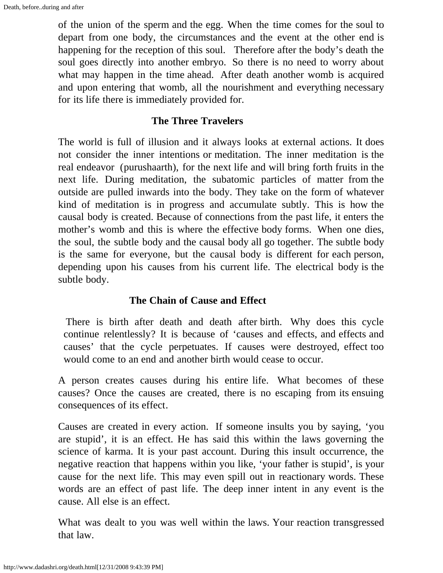of the union of the sperm and the egg*.* When the time comes for the soul to depart from one body, the circumstances and the event at the other end is happening for the reception of this soul. Therefore after the body's death the soul goes directly into another embryo. So there is no need to worry about what may happen in the time ahead. After death another womb is acquired and upon entering that womb, all the nourishment and everything necessary for its life there is immediately provided for.

#### **The Three Travelers**

The world is full of illusion and it always looks at external actions. It does not consider the inner intentions or meditation. The inner meditation is the real endeavor (purushaarth), for the next life and will bring forth fruits in the next life. During meditation, the subatomic particles of matter from the outside are pulled inwards into the body. They take on the form of whatever kind of meditation is in progress and accumulate subtly. This is how the causal body is created. Because of connections from the past life, it enters the mother's womb and this is where the effective body forms. When one dies, the soul, the subtle body and the causal body all go together. The subtle body is the same for everyone, but the causal body is different for each person, depending upon his causes from his current life. The electrical body is the subtle body.

#### **The Chain of Cause and Effect**

 There is birth after death and death after birth. Why does this cycle continue relentlessly? It is because of 'causes and effects, and effects and causes' that the cycle perpetuates. If causes were destroyed, effect too would come to an end and another birth would cease to occur.

A person creates causes during his entire life. What becomes of these causes? Once the causes are created, there is no escaping from its ensuing consequences of its effect.

Causes are created in every action. If someone insults you by saying, 'you are stupid', it is an effect. He has said this within the laws governing the science of karma. It is your past account. During this insult occurrence, the negative reaction that happens within you like, 'your father is stupid', is your cause for the next life. This may even spill out in reactionary words. These words are an effect of past life. The deep inner intent in any event is the cause. All else is an effect.

What was dealt to you was well within the laws. Your reaction transgressed that law.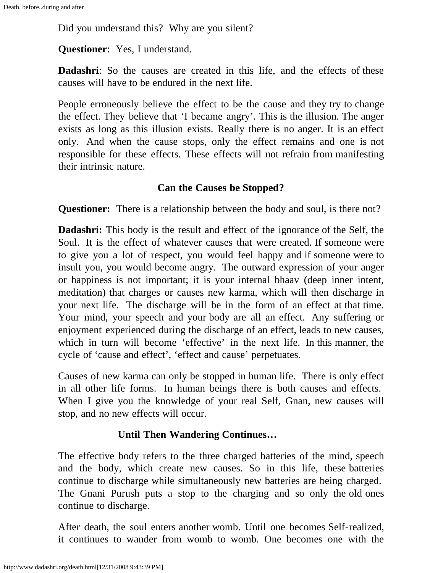Did you understand this? Why are you silent?

**Questioner**: Yes, I understand.

**Dadashri:** So the causes are created in this life, and the effects of these causes will have to be endured in the next life.

People erroneously believe the effect to be the cause and they try to change the effect. They believe that 'I became angry'. This is the illusion. The anger exists as long as this illusion exists. Really there is no anger. It is an effect only. And when the cause stops, only the effect remains and one is not responsible for these effects. These effects will not refrain from manifesting their intrinsic nature.

# **Can the Causes be Stopped?**

**Questioner:** There is a relationship between the body and soul, is there not?

**Dadashri:** This body is the result and effect of the ignorance of the Self, the Soul. It is the effect of whatever causes that were created. If someone were to give you a lot of respect, you would feel happy and if someone were to insult you, you would become angry. The outward expression of your anger or happiness is not important; it is your internal bhaav (deep inner intent, meditation) that charges or causes new karma, which will then discharge in your next life. The discharge will be in the form of an effect at that time. Your mind, your speech and your body are all an effect. Any suffering or enjoyment experienced during the discharge of an effect, leads to new causes, which in turn will become 'effective' in the next life. In this manner, the cycle of 'cause and effect', 'effect and cause' perpetuates.

Causes of new karma can only be stopped in human life. There is only effect in all other life forms. In human beings there is both causes and effects. When I give you the knowledge of your real Self, Gnan, new causes will stop, and no new effects will occur.

# **Until Then Wandering Continues…**

The effective body refers to the three charged batteries of the mind, speech and the body, which create new causes. So in this life, these batteries continue to discharge while simultaneously new batteries are being charged. The Gnani Purush puts a stop to the charging and so only the old ones continue to discharge.

After death, the soul enters another womb. Until one becomes Self-realized, it continues to wander from womb to womb. One becomes one with the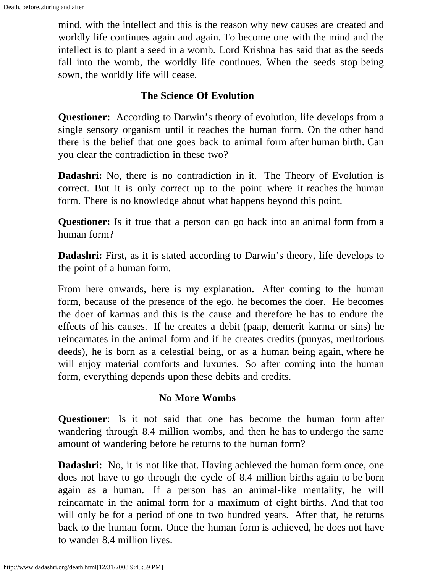mind, with the intellect and this is the reason why new causes are created and worldly life continues again and again. To become one with the mind and the intellect is to plant a seed in a womb. Lord Krishna has said that as the seeds fall into the womb, the worldly life continues. When the seeds stop being sown, the worldly life will cease.

#### **The Science Of Evolution**

**Questioner:** According to Darwin's theory of evolution, life develops from a single sensory organism until it reaches the human form. On the other hand there is the belief that one goes back to animal form after human birth. Can you clear the contradiction in these two?

**Dadashri:** No, there is no contradiction in it. The Theory of Evolution is correct. But it is only correct up to the point where it reaches the human form. There is no knowledge about what happens beyond this point.

**Questioner:** Is it true that a person can go back into an animal form from a human form?

**Dadashri:** First, as it is stated according to Darwin's theory, life develops to the point of a human form.

From here onwards, here is my explanation. After coming to the human form, because of the presence of the ego, he becomes the doer. He becomes the doer of karmas and this is the cause and therefore he has to endure the effects of his causes. If he creates a debit (paap, demerit karma or sins) he reincarnates in the animal form and if he creates credits (punyas, meritorious deeds), he is born as a celestial being, or as a human being again, where he will enjoy material comforts and luxuries. So after coming into the human form, everything depends upon these debits and credits.

#### **No More Wombs**

**Questioner**: Is it not said that one has become the human form after wandering through 8.4 million wombs, and then he has to undergo the same amount of wandering before he returns to the human form?

**Dadashri:** No, it is not like that. Having achieved the human form once, one does not have to go through the cycle of 8.4 million births again to be born again as a human. If a person has an animal-like mentality, he will reincarnate in the animal form for a maximum of eight births. And that too will only be for a period of one to two hundred years. After that, he returns back to the human form. Once the human form is achieved, he does not have to wander 8.4 million lives.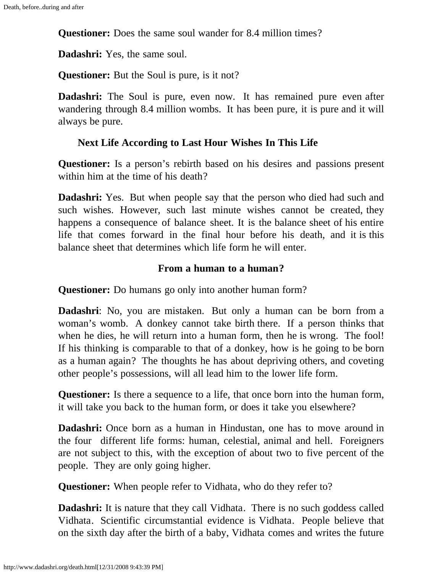**Questioner:** Does the same soul wander for 8.4 million times?

**Dadashri:** Yes, the same soul.

**Questioner:** But the Soul is pure, is it not?

**Dadashri:** The Soul is pure, even now. It has remained pure even after wandering through 8.4 million wombs. It has been pure, it is pure and it will always be pure.

# **Next Life According to Last Hour Wishes In This Life**

**Questioner:** Is a person's rebirth based on his desires and passions present within him at the time of his death?

**Dadashri:** Yes. But when people say that the person who died had such and such wishes. However, such last minute wishes cannot be created, they happens a consequence of balance sheet. It is the balance sheet of his entire life that comes forward in the final hour before his death, and it is this balance sheet that determines which life form he will enter.

# **From a human to a human?**

**Questioner:** Do humans go only into another human form?

**Dadashri**: No, you are mistaken. But only a human can be born from a woman's womb. A donkey cannot take birth there. If a person thinks that when he dies, he will return into a human form, then he is wrong. The fool! If his thinking is comparable to that of a donkey, how is he going to be born as a human again? The thoughts he has about depriving others, and coveting other people's possessions, will all lead him to the lower life form.

**Questioner:** Is there a sequence to a life, that once born into the human form, it will take you back to the human form, or does it take you elsewhere?

**Dadashri:** Once born as a human in Hindustan, one has to move around in the four different life forms: human, celestial, animal and hell. Foreigners are not subject to this, with the exception of about two to five percent of the people. They are only going higher.

**Questioner:** When people refer to Vidhata, who do they refer to?

**Dadashri:** It is nature that they call Vidhata. There is no such goddess called Vidhata. Scientific circumstantial evidence is Vidhata. People believe that on the sixth day after the birth of a baby, Vidhata comes and writes the future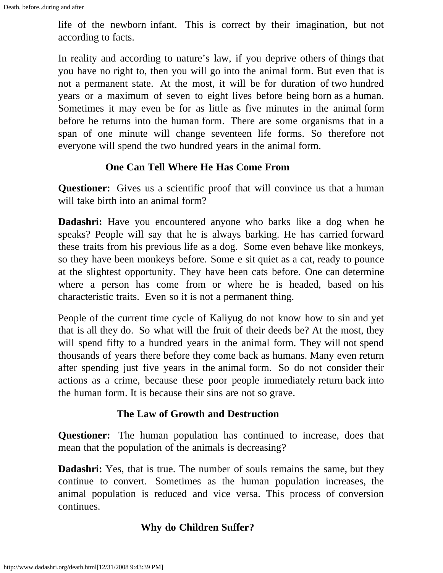life of the newborn infant. This is correct by their imagination, but not according to facts.

In reality and according to nature's law, if you deprive others of things that you have no right to, then you will go into the animal form. But even that is not a permanent state. At the most, it will be for duration of two hundred years or a maximum of seven to eight lives before being born as a human. Sometimes it may even be for as little as five minutes in the animal form before he returns into the human form. There are some organisms that in a span of one minute will change seventeen life forms. So therefore not everyone will spend the two hundred years in the animal form.

#### **One Can Tell Where He Has Come From**

**Questioner:** Gives us a scientific proof that will convince us that a human will take birth into an animal form?

**Dadashri:** Have you encountered anyone who barks like a dog when he speaks? People will say that he is always barking. He has carried forward these traits from his previous life as a dog. Some even behave like monkeys, so they have been monkeys before. Some e sit quiet as a cat, ready to pounce at the slightest opportunity. They have been cats before. One can determine where a person has come from or where he is headed, based on his characteristic traits. Even so it is not a permanent thing.

People of the current time cycle of Kaliyug do not know how to sin and yet that is all they do. So what will the fruit of their deeds be? At the most, they will spend fifty to a hundred years in the animal form. They will not spend thousands of years there before they come back as humans. Many even return after spending just five years in the animal form. So do not consider their actions as a crime, because these poor people immediately return back into the human form. It is because their sins are not so grave.

#### **The Law of Growth and Destruction**

**Questioner:** The human population has continued to increase, does that mean that the population of the animals is decreasing?

**Dadashri:** Yes, that is true. The number of souls remains the same, but they continue to convert. Sometimes as the human population increases, the animal population is reduced and vice versa. This process of conversion continues.

# **Why do Children Suffer?**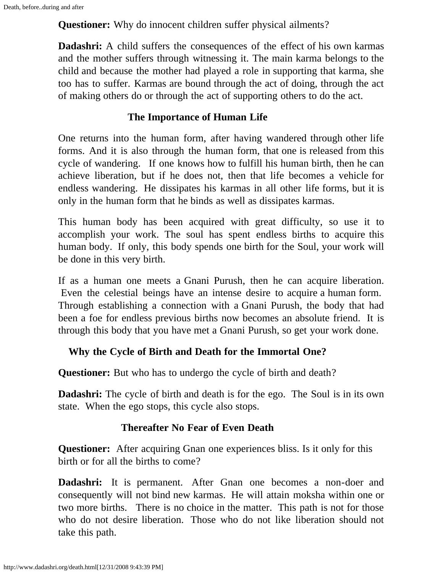**Questioner:** Why do innocent children suffer physical ailments?

**Dadashri:** A child suffers the consequences of the effect of his own karmas and the mother suffers through witnessing it. The main karma belongs to the child and because the mother had played a role in supporting that karma, she too has to suffer. Karmas are bound through the act of doing, through the act of making others do or through the act of supporting others to do the act.

# **The Importance of Human Life**

One returns into the human form, after having wandered through other life forms. And it is also through the human form, that one is released from this cycle of wandering. If one knows how to fulfill his human birth, then he can achieve liberation, but if he does not, then that life becomes a vehicle for endless wandering. He dissipates his karmas in all other life forms, but it is only in the human form that he binds as well as dissipates karmas.

This human body has been acquired with great difficulty, so use it to accomplish your work. The soul has spent endless births to acquire this human body. If only, this body spends one birth for the Soul, your work will be done in this very birth.

If as a human one meets a Gnani Purush, then he can acquire liberation. Even the celestial beings have an intense desire to acquire a human form. Through establishing a connection with a Gnani Purush, the body that had been a foe for endless previous births now becomes an absolute friend. It is through this body that you have met a Gnani Purush, so get your work done.

# **Why the Cycle of Birth and Death for the Immortal One?**

**Questioner:** But who has to undergo the cycle of birth and death?

**Dadashri:** The cycle of birth and death is for the ego. The Soul is in its own state. When the ego stops, this cycle also stops.

# **Thereafter No Fear of Even Death**

**Questioner:** After acquiring Gnan one experiences bliss. Is it only for this birth or for all the births to come?

**Dadashri:** It is permanent. After Gnan one becomes a non-doer and consequently will not bind new karmas. He will attain moksha within one or two more births. There is no choice in the matter. This path is not for those who do not desire liberation. Those who do not like liberation should not take this path.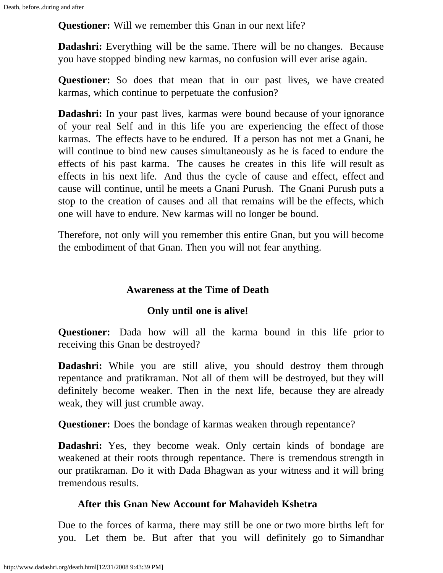**Questioner:** Will we remember this Gnan in our next life?

**Dadashri:** Everything will be the same. There will be no changes. Because you have stopped binding new karmas, no confusion will ever arise again.

**Questioner:** So does that mean that in our past lives, we have created karmas, which continue to perpetuate the confusion?

**Dadashri:** In your past lives, karmas were bound because of your ignorance of your real Self and in this life you are experiencing the effect of those karmas. The effects have to be endured. If a person has not met a Gnani, he will continue to bind new causes simultaneously as he is faced to endure the effects of his past karma. The causes he creates in this life will result as effects in his next life. And thus the cycle of cause and effect, effect and cause will continue, until he meets a Gnani Purush. The Gnani Purush puts a stop to the creation of causes and all that remains will be the effects, which one will have to endure. New karmas will no longer be bound.

Therefore, not only will you remember this entire Gnan, but you will become the embodiment of that Gnan. Then you will not fear anything.

### **Awareness at the Time of Death**

#### **Only until one is alive!**

**Questioner:** Dada how will all the karma bound in this life prior to receiving this Gnan be destroyed?

**Dadashri:** While you are still alive, you should destroy them through repentance and pratikraman. Not all of them will be destroyed, but they will definitely become weaker. Then in the next life, because they are already weak, they will just crumble away.

**Questioner:** Does the bondage of karmas weaken through repentance?

**Dadashri:** Yes, they become weak. Only certain kinds of bondage are weakened at their roots through repentance. There is tremendous strength in our pratikraman. Do it with Dada Bhagwan as your witness and it will bring tremendous results.

#### **After this Gnan New Account for Mahavideh Kshetra**

Due to the forces of karma, there may still be one or two more births left for you. Let them be. But after that you will definitely go to Simandhar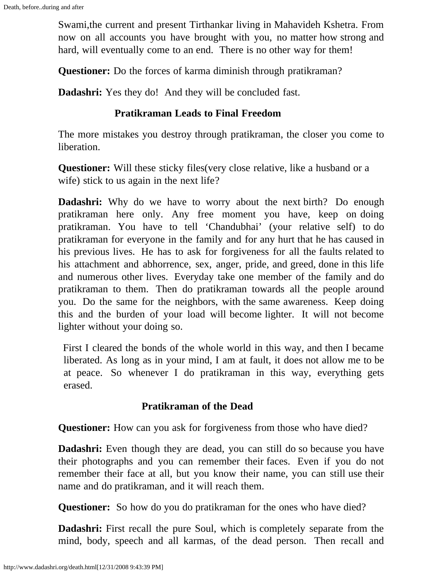Swami,the current and present Tirthankar living in Mahavideh Kshetra. From now on all accounts you have brought with you, no matter how strong and hard, will eventually come to an end. There is no other way for them!

**Questioner:** Do the forces of karma diminish through pratikraman?

**Dadashri:** Yes they do! And they will be concluded fast.

#### **Pratikraman Leads to Final Freedom**

The more mistakes you destroy through pratikraman, the closer you come to liberation.

**Questioner:** Will these sticky files (very close relative, like a husband or a wife) stick to us again in the next life?

**Dadashri:** Why do we have to worry about the next birth? Do enough pratikraman here only. Any free moment you have, keep on doing pratikraman. You have to tell 'Chandubhai' (your relative self) to do pratikraman for everyone in the family and for any hurt that he has caused in his previous lives. He has to ask for forgiveness for all the faults related to his attachment and abhorrence, sex, anger, pride, and greed, done in this life and numerous other lives. Everyday take one member of the family and do pratikraman to them. Then do pratikraman towards all the people around you. Do the same for the neighbors, with the same awareness. Keep doing this and the burden of your load will become lighter. It will not become lighter without your doing so.

 First I cleared the bonds of the whole world in this way, and then I became liberated. As long as in your mind, I am at fault, it does not allow me to be at peace. So whenever I do pratikraman in this way, everything gets erased.

#### **Pratikraman of the Dead**

**Questioner:** How can you ask for forgiveness from those who have died?

**Dadashri:** Even though they are dead, you can still do so because you have their photographs and you can remember their faces. Even if you do not remember their face at all, but you know their name, you can still use their name and do pratikraman, and it will reach them.

**Questioner:** So how do you do pratikraman for the ones who have died?

**Dadashri:** First recall the pure Soul, which is completely separate from the mind, body, speech and all karmas, of the dead person. Then recall and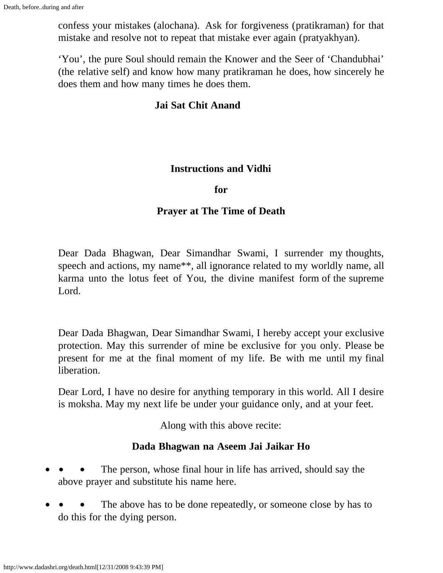confess your mistakes (alochana).Ask for forgiveness (pratikraman) for that mistake and resolve not to repeat that mistake ever again (pratyakhyan).

'You', the pure Soul should remain the Knower and the Seer of 'Chandubhai' (the relative self) and know how many pratikraman he does, how sincerely he does them and how many times he does them.

### **Jai Sat Chit Anand**

#### **Instructions and Vidhi**

**for**

#### **Prayer at The Time of Death**

Dear Dada Bhagwan, Dear Simandhar Swami, I surrender my thoughts, speech and actions, my name\*\*, all ignorance related to my worldly name, all karma unto the lotus feet of You, the divine manifest form of the supreme Lord.

Dear Dada Bhagwan, Dear Simandhar Swami, I hereby accept your exclusive protection. May this surrender of mine be exclusive for you only. Please be present for me at the final moment of my life. Be with me until my final liberation.

Dear Lord, I have no desire for anything temporary in this world. All I desire is moksha. May my next life be under your guidance only, and at your feet.

Along with this above recite:

# **Dada Bhagwan na Aseem Jai Jaikar Ho**

- The person, whose final hour in life has arrived, should say the above prayer and substitute his name here.
- The above has to be done repeatedly, or someone close by has to do this for the dying person.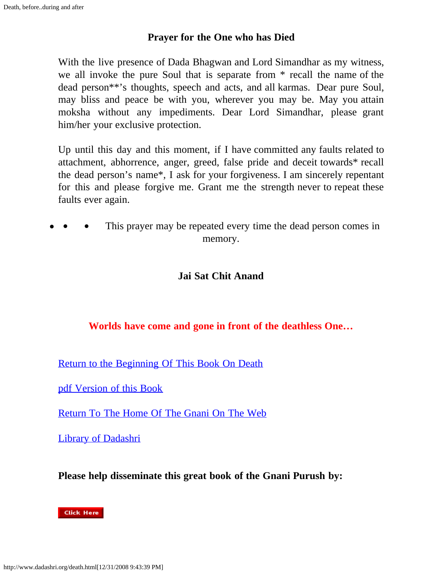#### **Prayer for the One who has Died**

With the live presence of Dada Bhagwan and Lord Simandhar as my witness, we all invoke the pure Soul that is separate from \* recall the name of the dead person\*\*'s thoughts, speech and acts, and all karmas. Dear pure Soul, may bliss and peace be with you, wherever you may be. May you attain moksha without any impediments. Dear Lord Simandhar, please grant him/her your exclusive protection.

Up until this day and this moment, if I have committed any faults related to attachment, abhorrence, anger, greed, false pride and deceit towards\* recall the dead person's name\*, I ask for your forgiveness. I am sincerely repentant for this and please forgive me. Grant me the strength never to repeat these faults ever again.

This prayer may be repeated every time the dead person comes in memory.

### **Jai Sat Chit Anand**

#### **Worlds have come and gone in front of the deathless One…**

[Return to the Beginning Of This Book On Death](#page-0-0)

[pdf Version of this Book](http://www.dadashri.org/death.pdf)

[Return To The Home Of The Gnani On The Web](http://www.dadashri.org/)

[Library of Dadashri](http://www.dadashri.org/books.html)

**Please help disseminate this great book of the Gnani Purush by:**

#### **Click Here**